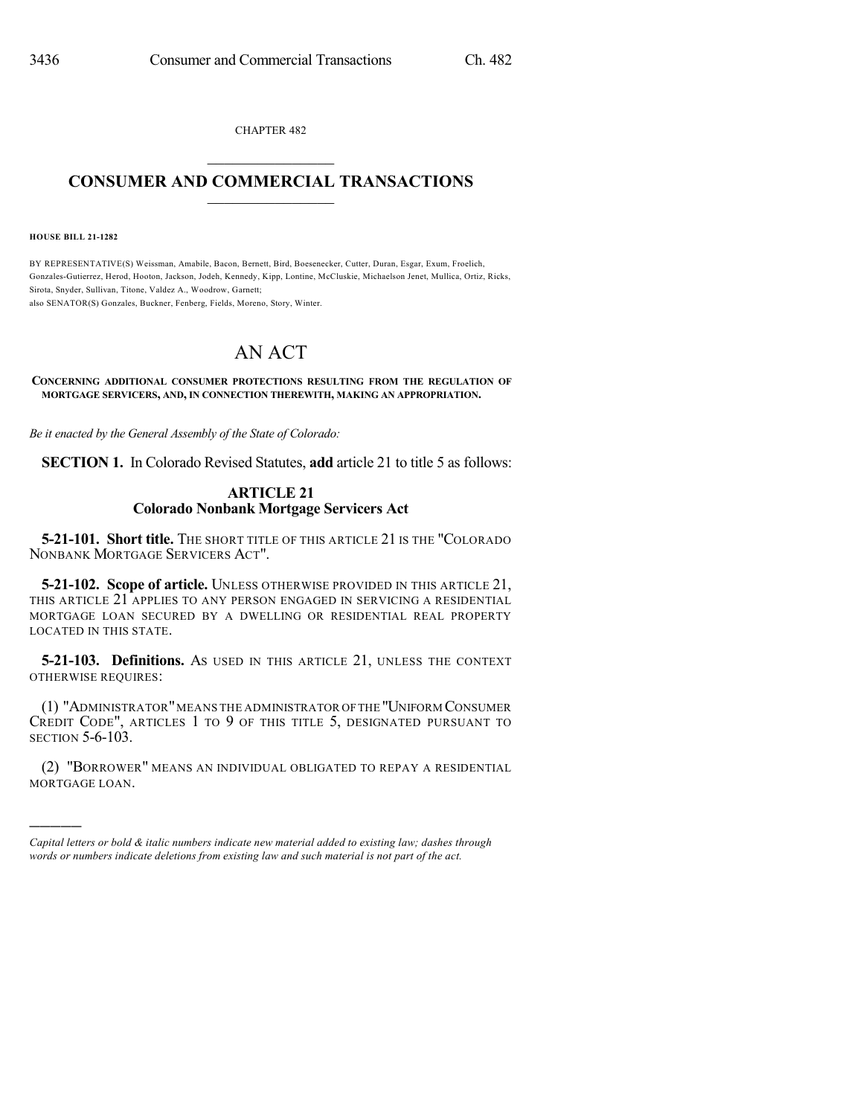CHAPTER 482  $\mathcal{L}_\text{max}$  . The set of the set of the set of the set of the set of the set of the set of the set of the set of the set of the set of the set of the set of the set of the set of the set of the set of the set of the set

## **CONSUMER AND COMMERCIAL TRANSACTIONS**  $\_$   $\_$   $\_$   $\_$   $\_$   $\_$   $\_$   $\_$

**HOUSE BILL 21-1282**

)))))

BY REPRESENTATIVE(S) Weissman, Amabile, Bacon, Bernett, Bird, Boesenecker, Cutter, Duran, Esgar, Exum, Froelich, Gonzales-Gutierrez, Herod, Hooton, Jackson, Jodeh, Kennedy, Kipp, Lontine, McCluskie, Michaelson Jenet, Mullica, Ortiz, Ricks, Sirota, Snyder, Sullivan, Titone, Valdez A., Woodrow, Garnett; also SENATOR(S) Gonzales, Buckner, Fenberg, Fields, Moreno, Story, Winter.

AN ACT

**CONCERNING ADDITIONAL CONSUMER PROTECTIONS RESULTING FROM THE REGULATION OF MORTGAGE SERVICERS, AND, IN CONNECTION THEREWITH, MAKING AN APPROPRIATION.**

*Be it enacted by the General Assembly of the State of Colorado:*

**SECTION 1.** In Colorado Revised Statutes, **add** article 21 to title 5 as follows:

## **ARTICLE 21 Colorado Nonbank Mortgage Servicers Act**

**5-21-101. Short title.** THE SHORT TITLE OF THIS ARTICLE 21 IS THE "COLORADO NONBANK MORTGAGE SERVICERS ACT".

**5-21-102. Scope of article.** UNLESS OTHERWISE PROVIDED IN THIS ARTICLE 21, THIS ARTICLE 21 APPLIES TO ANY PERSON ENGAGED IN SERVICING A RESIDENTIAL MORTGAGE LOAN SECURED BY A DWELLING OR RESIDENTIAL REAL PROPERTY LOCATED IN THIS STATE.

**5-21-103. Definitions.** AS USED IN THIS ARTICLE 21, UNLESS THE CONTEXT OTHERWISE REQUIRES:

(1) "ADMINISTRATOR"MEANS THE ADMINISTRATOR OFTHE "UNIFORM CONSUMER CREDIT CODE", ARTICLES 1 TO 9 OF THIS TITLE 5, DESIGNATED PURSUANT TO SECTION 5-6-103.

(2) "BORROWER" MEANS AN INDIVIDUAL OBLIGATED TO REPAY A RESIDENTIAL MORTGAGE LOAN.

*Capital letters or bold & italic numbers indicate new material added to existing law; dashes through words or numbers indicate deletions from existing law and such material is not part of the act.*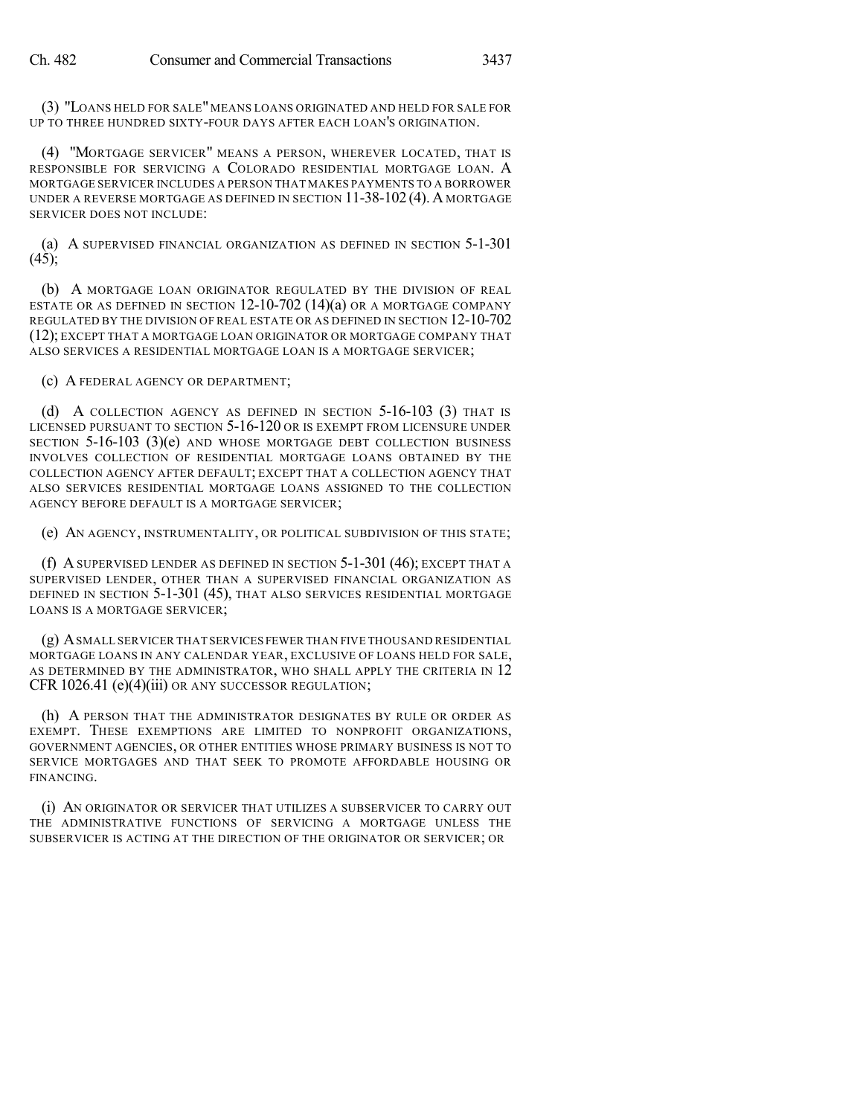(3) "LOANS HELD FOR SALE" MEANS LOANS ORIGINATED AND HELD FOR SALE FOR UP TO THREE HUNDRED SIXTY-FOUR DAYS AFTER EACH LOAN'S ORIGINATION.

(4) "MORTGAGE SERVICER" MEANS A PERSON, WHEREVER LOCATED, THAT IS RESPONSIBLE FOR SERVICING A COLORADO RESIDENTIAL MORTGAGE LOAN. A MORTGAGE SERVICER INCLUDES A PERSON THAT MAKES PAYMENTS TO A BORROWER UNDER A REVERSE MORTGAGE AS DEFINED IN SECTION 11-38-102 (4). A MORTGAGE SERVICER DOES NOT INCLUDE:

(a) A SUPERVISED FINANCIAL ORGANIZATION AS DEFINED IN SECTION 5-1-301  $(45);$ 

(b) A MORTGAGE LOAN ORIGINATOR REGULATED BY THE DIVISION OF REAL ESTATE OR AS DEFINED IN SECTION 12-10-702 (14)(a) OR A MORTGAGE COMPANY REGULATED BY THE DIVISION OF REAL ESTATE OR AS DEFINED IN SECTION 12-10-702 (12); EXCEPT THAT A MORTGAGE LOAN ORIGINATOR OR MORTGAGE COMPANY THAT ALSO SERVICES A RESIDENTIAL MORTGAGE LOAN IS A MORTGAGE SERVICER;

(c) A FEDERAL AGENCY OR DEPARTMENT;

(d) A COLLECTION AGENCY AS DEFINED IN SECTION 5-16-103 (3) THAT IS LICENSED PURSUANT TO SECTION 5-16-120 OR IS EXEMPT FROM LICENSURE UNDER SECTION 5-16-103 (3)(e) AND WHOSE MORTGAGE DEBT COLLECTION BUSINESS INVOLVES COLLECTION OF RESIDENTIAL MORTGAGE LOANS OBTAINED BY THE COLLECTION AGENCY AFTER DEFAULT; EXCEPT THAT A COLLECTION AGENCY THAT ALSO SERVICES RESIDENTIAL MORTGAGE LOANS ASSIGNED TO THE COLLECTION AGENCY BEFORE DEFAULT IS A MORTGAGE SERVICER;

(e) AN AGENCY, INSTRUMENTALITY, OR POLITICAL SUBDIVISION OF THIS STATE;

(f) A SUPERVISED LENDER AS DEFINED IN SECTION 5-1-301 (46); EXCEPT THAT A SUPERVISED LENDER, OTHER THAN A SUPERVISED FINANCIAL ORGANIZATION AS DEFINED IN SECTION 5-1-301 (45), THAT ALSO SERVICES RESIDENTIAL MORTGAGE LOANS IS A MORTGAGE SERVICER;

(g) ASMALL SERVICER THAT SERVICES FEWER THAN FIVE THOUSAND RESIDENTIAL MORTGAGE LOANS IN ANY CALENDAR YEAR, EXCLUSIVE OF LOANS HELD FOR SALE, AS DETERMINED BY THE ADMINISTRATOR, WHO SHALL APPLY THE CRITERIA IN 12 CFR 1026.41 (e)(4)(iii) OR ANY SUCCESSOR REGULATION;

(h) A PERSON THAT THE ADMINISTRATOR DESIGNATES BY RULE OR ORDER AS EXEMPT. THESE EXEMPTIONS ARE LIMITED TO NONPROFIT ORGANIZATIONS, GOVERNMENT AGENCIES, OR OTHER ENTITIES WHOSE PRIMARY BUSINESS IS NOT TO SERVICE MORTGAGES AND THAT SEEK TO PROMOTE AFFORDABLE HOUSING OR FINANCING.

(i) AN ORIGINATOR OR SERVICER THAT UTILIZES A SUBSERVICER TO CARRY OUT THE ADMINISTRATIVE FUNCTIONS OF SERVICING A MORTGAGE UNLESS THE SUBSERVICER IS ACTING AT THE DIRECTION OF THE ORIGINATOR OR SERVICER; OR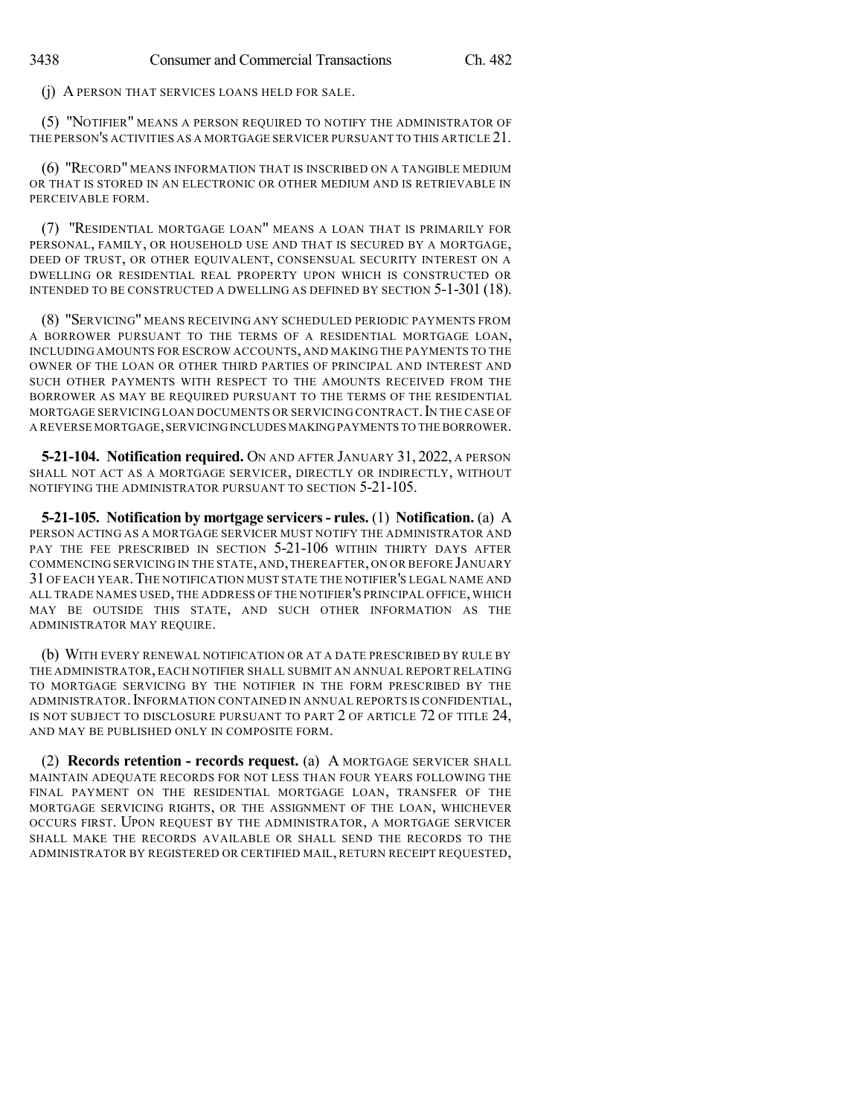(j) A PERSON THAT SERVICES LOANS HELD FOR SALE.

(5) "NOTIFIER" MEANS A PERSON REQUIRED TO NOTIFY THE ADMINISTRATOR OF THE PERSON'S ACTIVITIES AS A MORTGAGE SERVICER PURSUANT TO THIS ARTICLE 21.

(6) "RECORD" MEANS INFORMATION THAT IS INSCRIBED ON A TANGIBLE MEDIUM OR THAT IS STORED IN AN ELECTRONIC OR OTHER MEDIUM AND IS RETRIEVABLE IN PERCEIVABLE FORM.

(7) "RESIDENTIAL MORTGAGE LOAN" MEANS A LOAN THAT IS PRIMARILY FOR PERSONAL, FAMILY, OR HOUSEHOLD USE AND THAT IS SECURED BY A MORTGAGE, DEED OF TRUST, OR OTHER EQUIVALENT, CONSENSUAL SECURITY INTEREST ON A DWELLING OR RESIDENTIAL REAL PROPERTY UPON WHICH IS CONSTRUCTED OR INTENDED TO BE CONSTRUCTED A DWELLING AS DEFINED BY SECTION 5-1-301 (18).

(8) "SERVICING" MEANS RECEIVING ANY SCHEDULED PERIODIC PAYMENTS FROM A BORROWER PURSUANT TO THE TERMS OF A RESIDENTIAL MORTGAGE LOAN, INCLUDING AMOUNTS FOR ESCROW ACCOUNTS, AND MAKING THE PAYMENTS TO THE OWNER OF THE LOAN OR OTHER THIRD PARTIES OF PRINCIPAL AND INTEREST AND SUCH OTHER PAYMENTS WITH RESPECT TO THE AMOUNTS RECEIVED FROM THE BORROWER AS MAY BE REQUIRED PURSUANT TO THE TERMS OF THE RESIDENTIAL MORTGAGE SERVICING LOAN DOCUMENTS OR SERVICING CONTRACT. IN THE CASE OF A REVERSE MORTGAGE,SERVICINGINCLUDES MAKINGPAYMENTS TO THE BORROWER.

**5-21-104. Notification required.** ON AND AFTER JANUARY 31, 2022, A PERSON SHALL NOT ACT AS A MORTGAGE SERVICER, DIRECTLY OR INDIRECTLY, WITHOUT NOTIFYING THE ADMINISTRATOR PURSUANT TO SECTION 5-21-105.

**5-21-105. Notification by mortgage servicers- rules.** (1) **Notification.** (a) A PERSON ACTING AS A MORTGAGE SERVICER MUST NOTIFY THE ADMINISTRATOR AND PAY THE FEE PRESCRIBED IN SECTION 5-21-106 WITHIN THIRTY DAYS AFTER COMMENCING SERVICING IN THE STATE, AND,THEREAFTER,ON OR BEFORE JANUARY 31 OF EACH YEAR.THE NOTIFICATION MUST STATE THE NOTIFIER'S LEGAL NAME AND ALL TRADE NAMES USED, THE ADDRESS OF THE NOTIFIER'S PRINCIPAL OFFICE, WHICH MAY BE OUTSIDE THIS STATE, AND SUCH OTHER INFORMATION AS THE ADMINISTRATOR MAY REQUIRE.

(b) WITH EVERY RENEWAL NOTIFICATION OR AT A DATE PRESCRIBED BY RULE BY THE ADMINISTRATOR, EACH NOTIFIER SHALL SUBMIT AN ANNUAL REPORT RELATING TO MORTGAGE SERVICING BY THE NOTIFIER IN THE FORM PRESCRIBED BY THE ADMINISTRATOR.INFORMATION CONTAINED IN ANNUAL REPORTS IS CONFIDENTIAL, IS NOT SUBJECT TO DISCLOSURE PURSUANT TO PART 2 OF ARTICLE 72 OF TITLE 24, AND MAY BE PUBLISHED ONLY IN COMPOSITE FORM.

(2) **Records retention - records request.** (a) A MORTGAGE SERVICER SHALL MAINTAIN ADEQUATE RECORDS FOR NOT LESS THAN FOUR YEARS FOLLOWING THE FINAL PAYMENT ON THE RESIDENTIAL MORTGAGE LOAN, TRANSFER OF THE MORTGAGE SERVICING RIGHTS, OR THE ASSIGNMENT OF THE LOAN, WHICHEVER OCCURS FIRST. UPON REQUEST BY THE ADMINISTRATOR, A MORTGAGE SERVICER SHALL MAKE THE RECORDS AVAILABLE OR SHALL SEND THE RECORDS TO THE ADMINISTRATOR BY REGISTERED OR CERTIFIED MAIL, RETURN RECEIPT REQUESTED,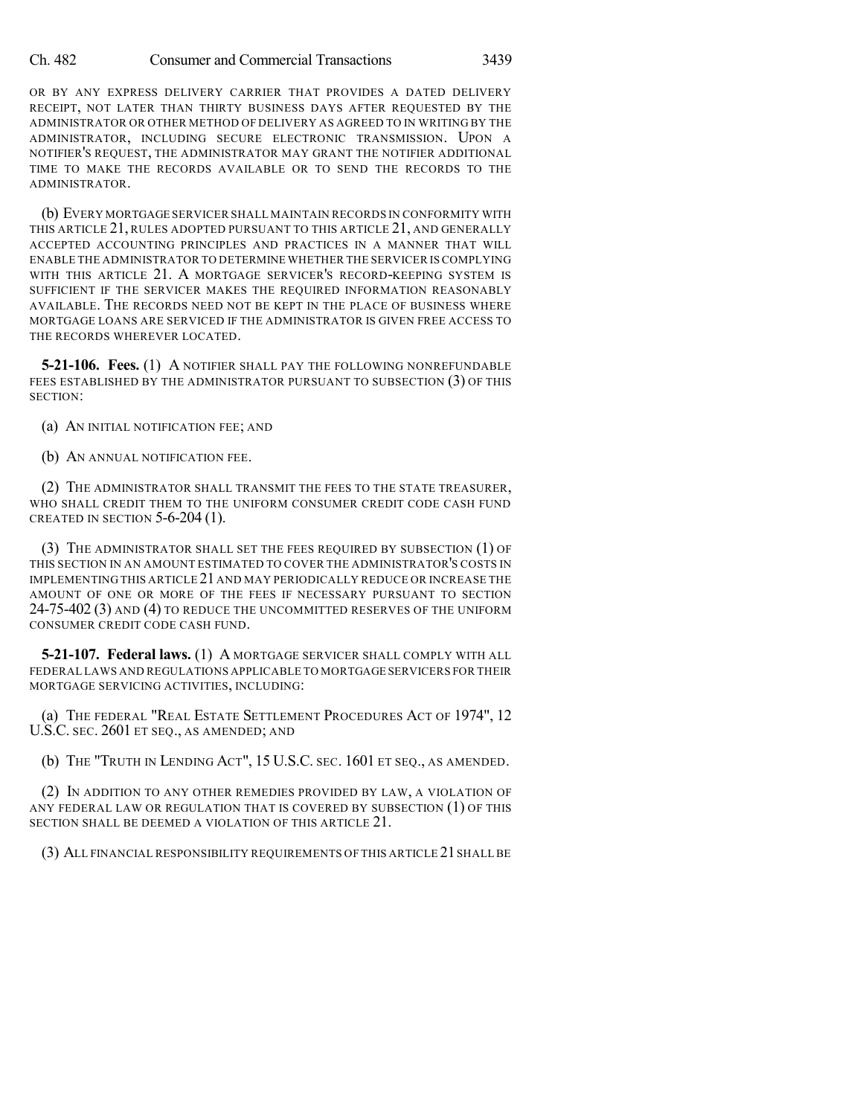OR BY ANY EXPRESS DELIVERY CARRIER THAT PROVIDES A DATED DELIVERY RECEIPT, NOT LATER THAN THIRTY BUSINESS DAYS AFTER REQUESTED BY THE ADMINISTRATOR OR OTHER METHOD OF DELIVERY AS AGREED TO IN WRITING BY THE ADMINISTRATOR, INCLUDING SECURE ELECTRONIC TRANSMISSION. UPON A NOTIFIER'S REQUEST, THE ADMINISTRATOR MAY GRANT THE NOTIFIER ADDITIONAL TIME TO MAKE THE RECORDS AVAILABLE OR TO SEND THE RECORDS TO THE ADMINISTRATOR.

(b) EVERY MORTGAGE SERVICER SHALL MAINTAIN RECORDS IN CONFORMITY WITH THIS ARTICLE 21, RULES ADOPTED PURSUANT TO THIS ARTICLE 21, AND GENERALLY ACCEPTED ACCOUNTING PRINCIPLES AND PRACTICES IN A MANNER THAT WILL ENABLE THE ADMINISTRATOR TO DETERMINE WHETHER THE SERVICER IS COMPLYING WITH THIS ARTICLE 21. A MORTGAGE SERVICER'S RECORD-KEEPING SYSTEM IS SUFFICIENT IF THE SERVICER MAKES THE REQUIRED INFORMATION REASONABLY AVAILABLE. THE RECORDS NEED NOT BE KEPT IN THE PLACE OF BUSINESS WHERE MORTGAGE LOANS ARE SERVICED IF THE ADMINISTRATOR IS GIVEN FREE ACCESS TO THE RECORDS WHEREVER LOCATED.

**5-21-106. Fees.** (1) A NOTIFIER SHALL PAY THE FOLLOWING NONREFUNDABLE FEES ESTABLISHED BY THE ADMINISTRATOR PURSUANT TO SUBSECTION (3) OF THIS SECTION:

(a) AN INITIAL NOTIFICATION FEE; AND

(b) AN ANNUAL NOTIFICATION FEE.

(2) THE ADMINISTRATOR SHALL TRANSMIT THE FEES TO THE STATE TREASURER, WHO SHALL CREDIT THEM TO THE UNIFORM CONSUMER CREDIT CODE CASH FUND CREATED IN SECTION 5-6-204 (1).

(3) THE ADMINISTRATOR SHALL SET THE FEES REQUIRED BY SUBSECTION (1) OF THIS SECTION IN AN AMOUNT ESTIMATED TO COVER THE ADMINISTRATOR'S COSTS IN IMPLEMENTING THIS ARTICLE 21AND MAY PERIODICALLY REDUCE OR INCREASE THE AMOUNT OF ONE OR MORE OF THE FEES IF NECESSARY PURSUANT TO SECTION 24-75-402 (3) AND (4) TO REDUCE THE UNCOMMITTED RESERVES OF THE UNIFORM CONSUMER CREDIT CODE CASH FUND.

**5-21-107. Federal laws.** (1) A MORTGAGE SERVICER SHALL COMPLY WITH ALL FEDERAL LAWS AND REGULATIONS APPLICABLE TO MORTGAGE SERVICERS FOR THEIR MORTGAGE SERVICING ACTIVITIES, INCLUDING:

(a) THE FEDERAL "REAL ESTATE SETTLEMENT PROCEDURES ACT OF 1974", 12 U.S.C. SEC. 2601 ET SEQ., AS AMENDED; AND

(b) THE "TRUTH IN LENDING ACT", 15 U.S.C. SEC. 1601 ET SEQ., AS AMENDED.

(2) IN ADDITION TO ANY OTHER REMEDIES PROVIDED BY LAW, A VIOLATION OF ANY FEDERAL LAW OR REGULATION THAT IS COVERED BY SUBSECTION (1) OF THIS SECTION SHALL BE DEEMED A VIOLATION OF THIS ARTICLE 21.

(3) ALL FINANCIAL RESPONSIBILITY REQUIREMENTS OF THIS ARTICLE 21SHALLBE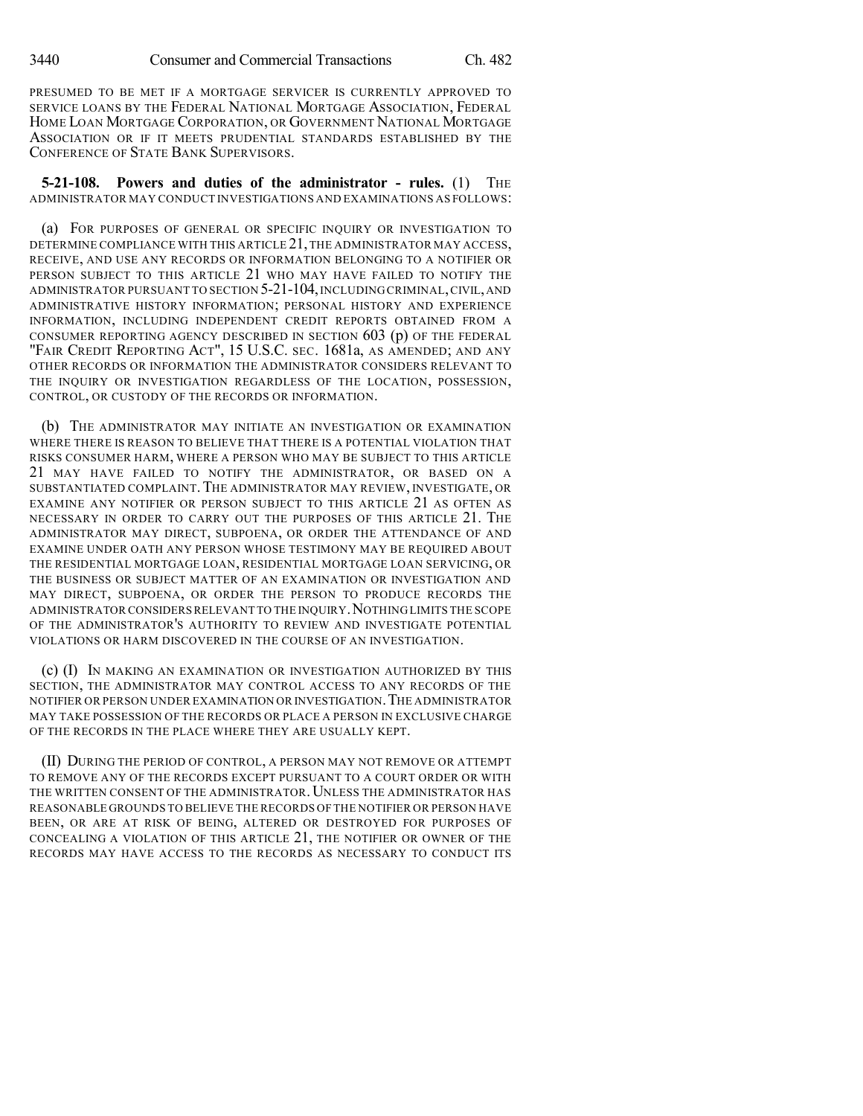PRESUMED TO BE MET IF A MORTGAGE SERVICER IS CURRENTLY APPROVED TO SERVICE LOANS BY THE FEDERAL NATIONAL MORTGAGE ASSOCIATION, FEDERAL HOME LOAN MORTGAGE CORPORATION, OR GOVERNMENT NATIONAL MORTGAGE ASSOCIATION OR IF IT MEETS PRUDENTIAL STANDARDS ESTABLISHED BY THE CONFERENCE OF STATE BANK SUPERVISORS.

**5-21-108. Powers and duties of the administrator - rules.** (1) THE ADMINISTRATOR MAY CONDUCT INVESTIGATIONS AND EXAMINATIONS AS FOLLOWS:

(a) FOR PURPOSES OF GENERAL OR SPECIFIC INQUIRY OR INVESTIGATION TO DETERMINE COMPLIANCE WITH THIS ARTICLE 21,THE ADMINISTRATOR MAY ACCESS, RECEIVE, AND USE ANY RECORDS OR INFORMATION BELONGING TO A NOTIFIER OR PERSON SUBJECT TO THIS ARTICLE 21 WHO MAY HAVE FAILED TO NOTIFY THE ADMINISTRATOR PURSUANT TO SECTION 5-21-104,INCLUDING CRIMINAL,CIVIL,AND ADMINISTRATIVE HISTORY INFORMATION; PERSONAL HISTORY AND EXPERIENCE INFORMATION, INCLUDING INDEPENDENT CREDIT REPORTS OBTAINED FROM A CONSUMER REPORTING AGENCY DESCRIBED IN SECTION 603 (p) OF THE FEDERAL "FAIR CREDIT REPORTING ACT", 15 U.S.C. SEC. 1681a, AS AMENDED; AND ANY OTHER RECORDS OR INFORMATION THE ADMINISTRATOR CONSIDERS RELEVANT TO THE INQUIRY OR INVESTIGATION REGARDLESS OF THE LOCATION, POSSESSION, CONTROL, OR CUSTODY OF THE RECORDS OR INFORMATION.

(b) THE ADMINISTRATOR MAY INITIATE AN INVESTIGATION OR EXAMINATION WHERE THERE IS REASON TO BELIEVE THAT THERE IS A POTENTIAL VIOLATION THAT RISKS CONSUMER HARM, WHERE A PERSON WHO MAY BE SUBJECT TO THIS ARTICLE 21 MAY HAVE FAILED TO NOTIFY THE ADMINISTRATOR, OR BASED ON A SUBSTANTIATED COMPLAINT. THE ADMINISTRATOR MAY REVIEW, INVESTIGATE, OR EXAMINE ANY NOTIFIER OR PERSON SUBJECT TO THIS ARTICLE 21 AS OFTEN AS NECESSARY IN ORDER TO CARRY OUT THE PURPOSES OF THIS ARTICLE 21. THE ADMINISTRATOR MAY DIRECT, SUBPOENA, OR ORDER THE ATTENDANCE OF AND EXAMINE UNDER OATH ANY PERSON WHOSE TESTIMONY MAY BE REQUIRED ABOUT THE RESIDENTIAL MORTGAGE LOAN, RESIDENTIAL MORTGAGE LOAN SERVICING, OR THE BUSINESS OR SUBJECT MATTER OF AN EXAMINATION OR INVESTIGATION AND MAY DIRECT, SUBPOENA, OR ORDER THE PERSON TO PRODUCE RECORDS THE ADMINISTRATOR CONSIDERS RELEVANT TO THE INQUIRY. NOTHING LIMITS THE SCOPE OF THE ADMINISTRATOR'S AUTHORITY TO REVIEW AND INVESTIGATE POTENTIAL VIOLATIONS OR HARM DISCOVERED IN THE COURSE OF AN INVESTIGATION.

(c) (I) IN MAKING AN EXAMINATION OR INVESTIGATION AUTHORIZED BY THIS SECTION, THE ADMINISTRATOR MAY CONTROL ACCESS TO ANY RECORDS OF THE NOTIFIER OR PERSON UNDER EXAMINATION OR INVESTIGATION.THE ADMINISTRATOR MAY TAKE POSSESSION OF THE RECORDS OR PLACE A PERSON IN EXCLUSIVE CHARGE OF THE RECORDS IN THE PLACE WHERE THEY ARE USUALLY KEPT.

(II) DURING THE PERIOD OF CONTROL, A PERSON MAY NOT REMOVE OR ATTEMPT TO REMOVE ANY OF THE RECORDS EXCEPT PURSUANT TO A COURT ORDER OR WITH THE WRITTEN CONSENT OF THE ADMINISTRATOR. UNLESS THE ADMINISTRATOR HAS REASONABLE GROUNDS TO BELIEVE THE RECORDS OF THE NOTIFIER OR PERSON HAVE BEEN, OR ARE AT RISK OF BEING, ALTERED OR DESTROYED FOR PURPOSES OF CONCEALING A VIOLATION OF THIS ARTICLE 21, THE NOTIFIER OR OWNER OF THE RECORDS MAY HAVE ACCESS TO THE RECORDS AS NECESSARY TO CONDUCT ITS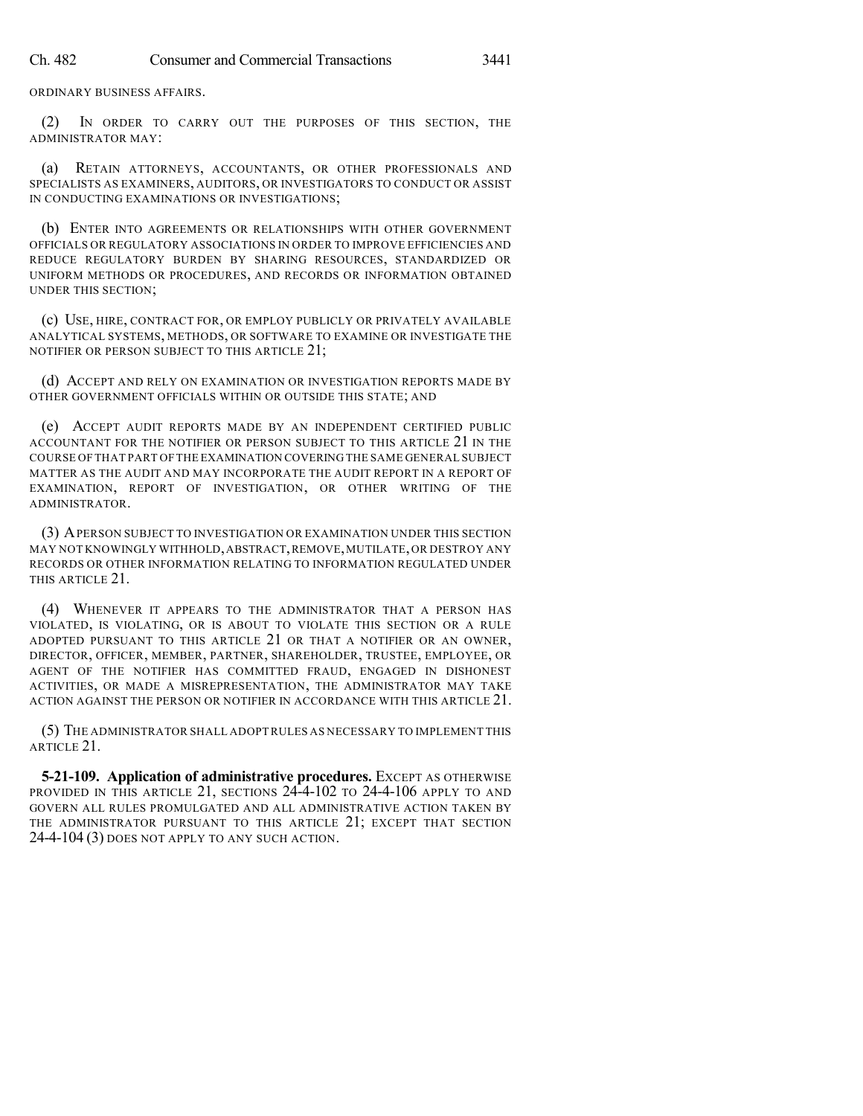ORDINARY BUSINESS AFFAIRS.

(2) IN ORDER TO CARRY OUT THE PURPOSES OF THIS SECTION, THE ADMINISTRATOR MAY:

(a) RETAIN ATTORNEYS, ACCOUNTANTS, OR OTHER PROFESSIONALS AND SPECIALISTS AS EXAMINERS, AUDITORS, OR INVESTIGATORS TO CONDUCT OR ASSIST IN CONDUCTING EXAMINATIONS OR INVESTIGATIONS;

(b) ENTER INTO AGREEMENTS OR RELATIONSHIPS WITH OTHER GOVERNMENT OFFICIALS OR REGULATORY ASSOCIATIONS IN ORDER TO IMPROVE EFFICIENCIES AND REDUCE REGULATORY BURDEN BY SHARING RESOURCES, STANDARDIZED OR UNIFORM METHODS OR PROCEDURES, AND RECORDS OR INFORMATION OBTAINED UNDER THIS SECTION;

(c) USE, HIRE, CONTRACT FOR, OR EMPLOY PUBLICLY OR PRIVATELY AVAILABLE ANALYTICAL SYSTEMS, METHODS, OR SOFTWARE TO EXAMINE OR INVESTIGATE THE NOTIFIER OR PERSON SUBJECT TO THIS ARTICLE 21;

(d) ACCEPT AND RELY ON EXAMINATION OR INVESTIGATION REPORTS MADE BY OTHER GOVERNMENT OFFICIALS WITHIN OR OUTSIDE THIS STATE; AND

(e) ACCEPT AUDIT REPORTS MADE BY AN INDEPENDENT CERTIFIED PUBLIC ACCOUNTANT FOR THE NOTIFIER OR PERSON SUBJECT TO THIS ARTICLE 21 IN THE COURSE OF THAT PART OF THE EXAMINATION COVERINGTHE SAME GENERAL SUBJECT MATTER AS THE AUDIT AND MAY INCORPORATE THE AUDIT REPORT IN A REPORT OF EXAMINATION, REPORT OF INVESTIGATION, OR OTHER WRITING OF THE ADMINISTRATOR.

(3) APERSON SUBJECT TO INVESTIGATION OR EXAMINATION UNDER THIS SECTION MAY NOT KNOWINGLY WITHHOLD,ABSTRACT,REMOVE,MUTILATE,OR DESTROY ANY RECORDS OR OTHER INFORMATION RELATING TO INFORMATION REGULATED UNDER THIS ARTICLE 21.

(4) WHENEVER IT APPEARS TO THE ADMINISTRATOR THAT A PERSON HAS VIOLATED, IS VIOLATING, OR IS ABOUT TO VIOLATE THIS SECTION OR A RULE ADOPTED PURSUANT TO THIS ARTICLE 21 OR THAT A NOTIFIER OR AN OWNER, DIRECTOR, OFFICER, MEMBER, PARTNER, SHAREHOLDER, TRUSTEE, EMPLOYEE, OR AGENT OF THE NOTIFIER HAS COMMITTED FRAUD, ENGAGED IN DISHONEST ACTIVITIES, OR MADE A MISREPRESENTATION, THE ADMINISTRATOR MAY TAKE ACTION AGAINST THE PERSON OR NOTIFIER IN ACCORDANCE WITH THIS ARTICLE 21.

(5) THE ADMINISTRATOR SHALL ADOPTRULES AS NECESSARY TO IMPLEMENT THIS ARTICLE 21.

**5-21-109. Application of administrative procedures.** EXCEPT AS OTHERWISE PROVIDED IN THIS ARTICLE 21, SECTIONS 24-4-102 TO 24-4-106 APPLY TO AND GOVERN ALL RULES PROMULGATED AND ALL ADMINISTRATIVE ACTION TAKEN BY THE ADMINISTRATOR PURSUANT TO THIS ARTICLE 21; EXCEPT THAT SECTION 24-4-104 (3) DOES NOT APPLY TO ANY SUCH ACTION.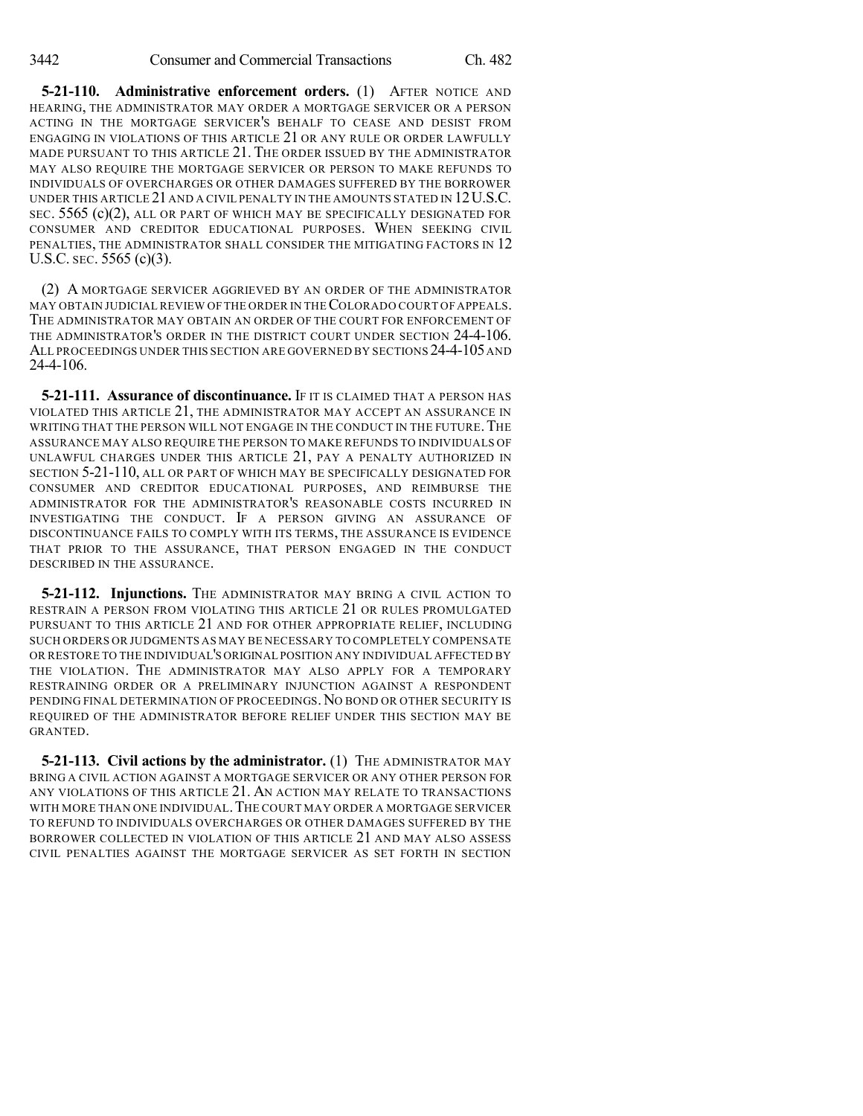**5-21-110. Administrative enforcement orders.** (1) AFTER NOTICE AND HEARING, THE ADMINISTRATOR MAY ORDER A MORTGAGE SERVICER OR A PERSON ACTING IN THE MORTGAGE SERVICER'S BEHALF TO CEASE AND DESIST FROM ENGAGING IN VIOLATIONS OF THIS ARTICLE 21 OR ANY RULE OR ORDER LAWFULLY MADE PURSUANT TO THIS ARTICLE 21. THE ORDER ISSUED BY THE ADMINISTRATOR MAY ALSO REQUIRE THE MORTGAGE SERVICER OR PERSON TO MAKE REFUNDS TO INDIVIDUALS OF OVERCHARGES OR OTHER DAMAGES SUFFERED BY THE BORROWER UNDER THIS ARTICLE 21 AND A CIVIL PENALTY IN THE AMOUNTS STATED IN 12U.S.C. SEC. 5565 (c)(2), ALL OR PART OF WHICH MAY BE SPECIFICALLY DESIGNATED FOR CONSUMER AND CREDITOR EDUCATIONAL PURPOSES. WHEN SEEKING CIVIL PENALTIES, THE ADMINISTRATOR SHALL CONSIDER THE MITIGATING FACTORS IN 12 U.S.C. SEC. 5565 (c)(3).

(2) A MORTGAGE SERVICER AGGRIEVED BY AN ORDER OF THE ADMINISTRATOR MAY OBTAIN JUDICIAL REVIEW OF THE ORDER IN THECOLORADO COURT OF APPEALS. THE ADMINISTRATOR MAY OBTAIN AN ORDER OF THE COURT FOR ENFORCEMENT OF THE ADMINISTRATOR'S ORDER IN THE DISTRICT COURT UNDER SECTION 24-4-106. ALL PROCEEDINGS UNDER THIS SECTION ARE GOVERNED BY SECTIONS 24-4-105 AND 24-4-106.

**5-21-111. Assurance of discontinuance.** IF IT IS CLAIMED THAT A PERSON HAS VIOLATED THIS ARTICLE 21, THE ADMINISTRATOR MAY ACCEPT AN ASSURANCE IN WRITING THAT THE PERSON WILL NOT ENGAGE IN THE CONDUCT IN THE FUTURE. THE ASSURANCE MAY ALSO REQUIRE THE PERSON TO MAKE REFUNDS TO INDIVIDUALS OF UNLAWFUL CHARGES UNDER THIS ARTICLE 21, PAY A PENALTY AUTHORIZED IN SECTION 5-21-110, ALL OR PART OF WHICH MAY BE SPECIFICALLY DESIGNATED FOR CONSUMER AND CREDITOR EDUCATIONAL PURPOSES, AND REIMBURSE THE ADMINISTRATOR FOR THE ADMINISTRATOR'S REASONABLE COSTS INCURRED IN INVESTIGATING THE CONDUCT. IF A PERSON GIVING AN ASSURANCE OF DISCONTINUANCE FAILS TO COMPLY WITH ITS TERMS, THE ASSURANCE IS EVIDENCE THAT PRIOR TO THE ASSURANCE, THAT PERSON ENGAGED IN THE CONDUCT DESCRIBED IN THE ASSURANCE.

**5-21-112. Injunctions.** THE ADMINISTRATOR MAY BRING A CIVIL ACTION TO RESTRAIN A PERSON FROM VIOLATING THIS ARTICLE 21 OR RULES PROMULGATED PURSUANT TO THIS ARTICLE 21 AND FOR OTHER APPROPRIATE RELIEF, INCLUDING SUCH ORDERS OR JUDGMENTS AS MAY BE NECESSARY TO COMPLETELY COMPENSATE OR RESTORE TO THE INDIVIDUAL'S ORIGINAL POSITION ANY INDIVIDUAL AFFECTED BY THE VIOLATION. THE ADMINISTRATOR MAY ALSO APPLY FOR A TEMPORARY RESTRAINING ORDER OR A PRELIMINARY INJUNCTION AGAINST A RESPONDENT PENDING FINAL DETERMINATION OF PROCEEDINGS.NO BOND OR OTHER SECURITY IS REQUIRED OF THE ADMINISTRATOR BEFORE RELIEF UNDER THIS SECTION MAY BE GRANTED.

**5-21-113. Civil actions by the administrator.** (1) The ADMINISTRATOR MAY BRING A CIVIL ACTION AGAINST A MORTGAGE SERVICER OR ANY OTHER PERSON FOR ANY VIOLATIONS OF THIS ARTICLE 21. AN ACTION MAY RELATE TO TRANSACTIONS WITH MORE THAN ONE INDIVIDUAL.THE COURT MAY ORDER A MORTGAGE SERVICER TO REFUND TO INDIVIDUALS OVERCHARGES OR OTHER DAMAGES SUFFERED BY THE BORROWER COLLECTED IN VIOLATION OF THIS ARTICLE 21 AND MAY ALSO ASSESS CIVIL PENALTIES AGAINST THE MORTGAGE SERVICER AS SET FORTH IN SECTION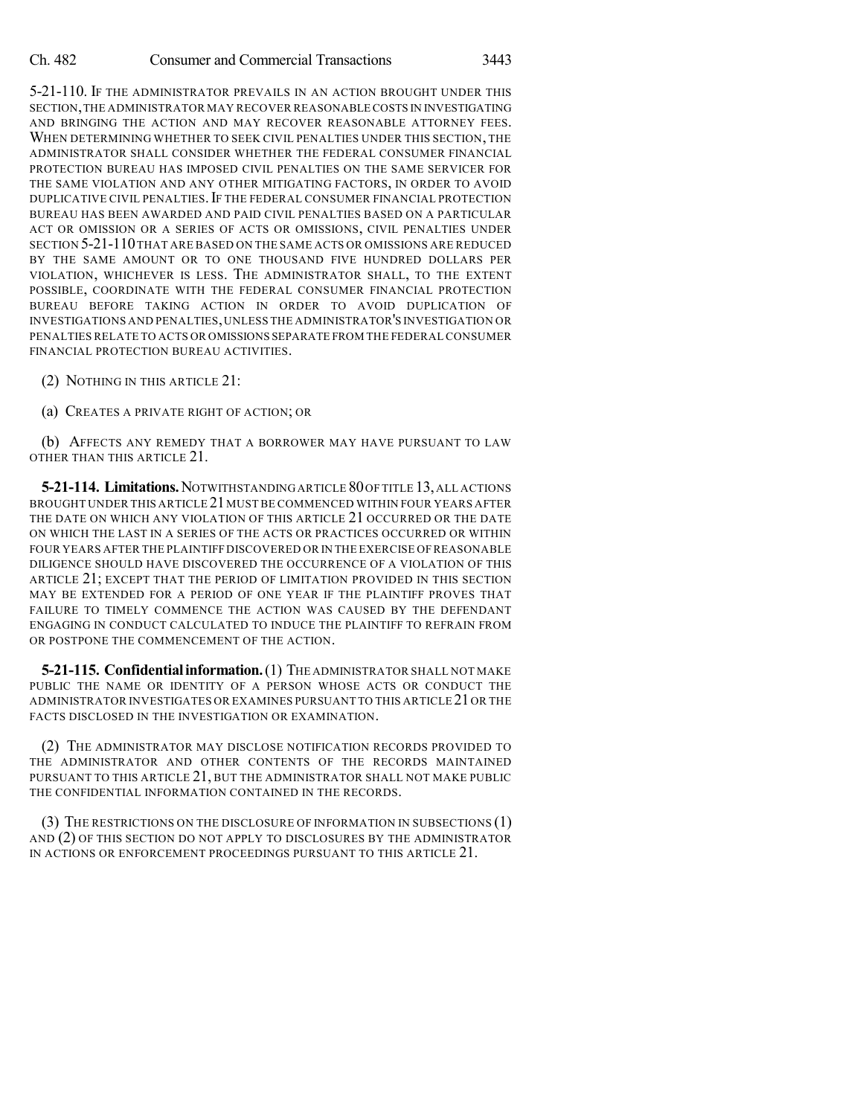5-21-110. IF THE ADMINISTRATOR PREVAILS IN AN ACTION BROUGHT UNDER THIS SECTION,THE ADMINISTRATOR MAY RECOVER REASONABLE COSTS IN INVESTIGATING AND BRINGING THE ACTION AND MAY RECOVER REASONABLE ATTORNEY FEES. WHEN DETERMINING WHETHER TO SEEK CIVIL PENALTIES UNDER THIS SECTION, THE ADMINISTRATOR SHALL CONSIDER WHETHER THE FEDERAL CONSUMER FINANCIAL PROTECTION BUREAU HAS IMPOSED CIVIL PENALTIES ON THE SAME SERVICER FOR THE SAME VIOLATION AND ANY OTHER MITIGATING FACTORS, IN ORDER TO AVOID DUPLICATIVE CIVIL PENALTIES. IF THE FEDERAL CONSUMER FINANCIAL PROTECTION BUREAU HAS BEEN AWARDED AND PAID CIVIL PENALTIES BASED ON A PARTICULAR ACT OR OMISSION OR A SERIES OF ACTS OR OMISSIONS, CIVIL PENALTIES UNDER SECTION 5-21-110THAT ARE BASED ON THE SAME ACTS OR OMISSIONS ARE REDUCED BY THE SAME AMOUNT OR TO ONE THOUSAND FIVE HUNDRED DOLLARS PER VIOLATION, WHICHEVER IS LESS. THE ADMINISTRATOR SHALL, TO THE EXTENT POSSIBLE, COORDINATE WITH THE FEDERAL CONSUMER FINANCIAL PROTECTION BUREAU BEFORE TAKING ACTION IN ORDER TO AVOID DUPLICATION OF INVESTIGATIONS AND PENALTIES,UNLESS THE ADMINISTRATOR'S INVESTIGATION OR PENALTIES RELATE TO ACTS OR OMISSIONS SEPARATE FROM THE FEDERAL CONSUMER FINANCIAL PROTECTION BUREAU ACTIVITIES.

- (2) NOTHING IN THIS ARTICLE 21:
- (a) CREATES A PRIVATE RIGHT OF ACTION; OR

(b) AFFECTS ANY REMEDY THAT A BORROWER MAY HAVE PURSUANT TO LAW OTHER THAN THIS ARTICLE 21.

**5-21-114. Limitations.**NOTWITHSTANDINGARTICLE 80OF TITLE 13,ALL ACTIONS BROUGHT UNDER THIS ARTICLE 21MUST BE COMMENCED WITHIN FOUR YEARS AFTER THE DATE ON WHICH ANY VIOLATION OF THIS ARTICLE 21 OCCURRED OR THE DATE ON WHICH THE LAST IN A SERIES OF THE ACTS OR PRACTICES OCCURRED OR WITHIN FOUR YEARS AFTER THE PLAINTIFF DISCOVERED OR IN THE EXERCISE OF REASONABLE DILIGENCE SHOULD HAVE DISCOVERED THE OCCURRENCE OF A VIOLATION OF THIS ARTICLE 21; EXCEPT THAT THE PERIOD OF LIMITATION PROVIDED IN THIS SECTION MAY BE EXTENDED FOR A PERIOD OF ONE YEAR IF THE PLAINTIFF PROVES THAT FAILURE TO TIMELY COMMENCE THE ACTION WAS CAUSED BY THE DEFENDANT ENGAGING IN CONDUCT CALCULATED TO INDUCE THE PLAINTIFF TO REFRAIN FROM OR POSTPONE THE COMMENCEMENT OF THE ACTION.

**5-21-115. Confidentialinformation.**(1) THE ADMINISTRATOR SHALL NOT MAKE PUBLIC THE NAME OR IDENTITY OF A PERSON WHOSE ACTS OR CONDUCT THE ADMINISTRATOR INVESTIGATES OR EXAMINES PURSUANT TO THIS ARTICLE 21OR THE FACTS DISCLOSED IN THE INVESTIGATION OR EXAMINATION.

(2) THE ADMINISTRATOR MAY DISCLOSE NOTIFICATION RECORDS PROVIDED TO THE ADMINISTRATOR AND OTHER CONTENTS OF THE RECORDS MAINTAINED PURSUANT TO THIS ARTICLE 21, BUT THE ADMINISTRATOR SHALL NOT MAKE PUBLIC THE CONFIDENTIAL INFORMATION CONTAINED IN THE RECORDS.

(3) THE RESTRICTIONS ON THE DISCLOSURE OF INFORMATION IN SUBSECTIONS (1) AND (2) OF THIS SECTION DO NOT APPLY TO DISCLOSURES BY THE ADMINISTRATOR IN ACTIONS OR ENFORCEMENT PROCEEDINGS PURSUANT TO THIS ARTICLE 21.